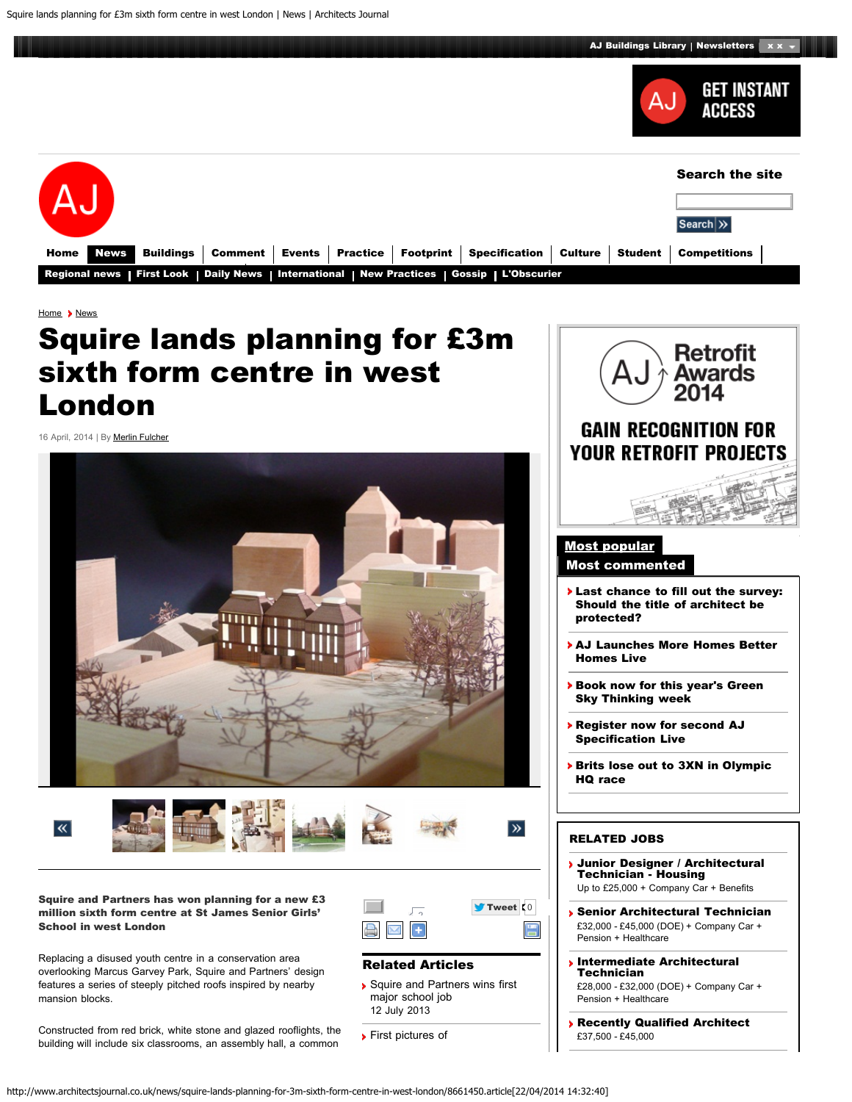

<span id="page-0-0"></span>

[Home](http://www.architectsjournal.co.uk/) > [News](http://www.architectsjournal.co.uk/news/)

## Squire lands planning for £3m sixth form centre in west London

16 April, 2014 | By [Merlin Fulcher](http://www.architectsjournal.co.uk/merlin-fulcher/1200387.bio)





Squire and Partners has won planning for a new £3 million sixth form centre at St James Senior Girls' School in west London

Replacing a disused youth centre in a conservation area overlooking Marcus Garvey Park, Squire and Partners' design features a series of steeply pitched roofs inspired by nearby mansion blocks.

Constructed from red brick, white stone and glazed rooflights, the building will include six classrooms, an assembly hall, a common



## Related Articles

- [Squire and Partners wins first](http://www.architectsjournal.co.uk/news/daily-news/squire-and-partners-wins-first-major-school-job/8650607.article) [major school job](http://www.architectsjournal.co.uk/news/daily-news/squire-and-partners-wins-first-major-school-job/8650607.article) 12 July 2013
- **[First pictures of](http://www.architectsjournal.co.uk/news/daily-news/first-pictures-of-hawkinsbrowns-tonbridge-school-revamp/8647141.article)**



## RELATED JOBS

- [Junior Designer / Architectural](http://www.architectsjournaljobs.com/job/793392/junior-designer-architectural-technician-housing/?TrackID=176) [Technician - Housing](http://www.architectsjournaljobs.com/job/793392/junior-designer-architectural-technician-housing/?TrackID=176) Up to £25,000 + Company Car + Benefits
- [Senior Architectural Technician](http://www.architectsjournaljobs.com/job/791748/senior-architectural-technician/?TrackID=176) £32,000 - £45,000 (DOE) + Company Car + Pension + Healthcare
- [Intermediate Architectural](http://www.architectsjournaljobs.com/job/791750/intermediate-architectural-technician/?TrackID=176) **[Technician](http://www.architectsjournaljobs.com/job/791750/intermediate-architectural-technician/?TrackID=176)** £28,000 - £32,000 (DOE) + Company Car + Pension + Healthcare
- [Recently Qualified Architect](http://www.architectsjournaljobs.com/job/792840/recently-qualified-architect-/?TrackID=176) £37,500 - £45,000